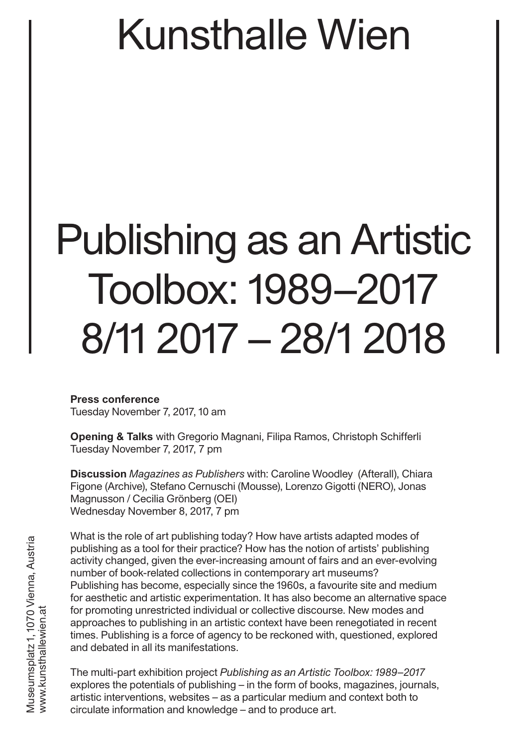# Publishing as an Artistic Toolbox: 1989–2017 8/11 2017 – 28/1 2018

**Press conference** Tuesday November 7, 2017, 10 am

**Opening & Talks** with Gregorio Magnani, Filipa Ramos, Christoph Schifferli Tuesday November 7, 2017, 7 pm

**Discussion** *Magazines as Publishers* with: Caroline Woodley (Afterall), Chiara Figone (Archive), Stefano Cernuschi (Mousse), Lorenzo Gigotti (NERO), Jonas Magnusson / Cecilia Grönberg (OEI) Wednesday November 8, 2017, 7 pm

What is the role of art publishing today? How have artists adapted modes of publishing as a tool for their practice? How has the notion of artists' publishing activity changed, given the ever-increasing amount of fairs and an ever-evolving number of book-related collections in contemporary art museums? Publishing has become, especially since the 1960s, a favourite site and medium for aesthetic and artistic experimentation. It has also become an alternative space for promoting unrestricted individual or collective discourse. New modes and approaches to publishing in an artistic context have been renegotiated in recent times. Publishing is a force of agency to be reckoned with, questioned, explored and debated in all its manifestations.

The multi-part exhibition project *Publishing as an Artistic Toolbox: 1989–2017*  explores the potentials of publishing – in the form of books, magazines, journals, artistic interventions, websites – as a particular medium and context both to circulate information and knowledge – and to produce art.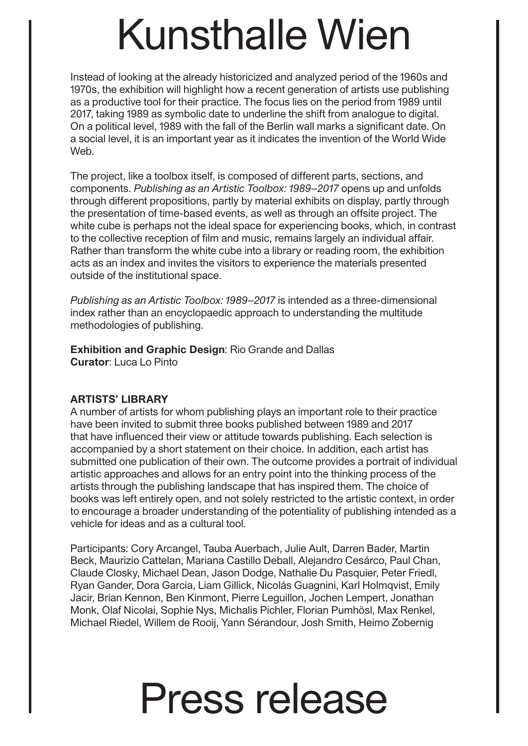Instead of looking at the already historicized and analyzed period of the 1960s and 1970s, the exhibition will highlight how a recent generation of artists use publishing as a productive tool for their practice. The focus lies on the period from 1989 until 2017, taking 1989 as symbolic date to underline the shift from analogue to digital. On a political level, 1989 with the fall of the Berlin wall marks a significant date. On a social level, it is an important year as it indicates the invention of the World Wide Web.

The project, like a toolbox itself, is composed of different parts, sections, and components. *Publishing as an Artistic Toolbox: 1989–2017* opens up and unfolds through different propositions, partly by material exhibits on display, partly through the presentation of time-based events, as well as through an offsite project. The white cube is perhaps not the ideal space for experiencing books, which, in contrast to the collective reception of film and music, remains largely an individual affair. Rather than transform the white cube into a library or reading room, the exhibition acts as an index and invites the visitors to experience the materials presented outside of the institutional space.

*Publishing as an Artistic Toolbox: 1989–2017* is intended as a three-dimensional index rather than an encyclopaedic approach to understanding the multitude methodologies of publishing.

**Exhibition and Graphic Design**: Rio Grande and Dallas **Curator**: Luca Lo Pinto

#### **ARTISTS' LIBRARY**

A number of artists for whom publishing plays an important role to their practice have been invited to submit three books published between 1989 and 2017 that have influenced their view or attitude towards publishing. Each selection is accompanied by a short statement on their choice. In addition, each artist has submitted one publication of their own. The outcome provides a portrait of individual artistic approaches and allows for an entry point into the thinking process of the artists through the publishing landscape that has inspired them. The choice of books was left entirely open, and not solely restricted to the artistic context, in order to encourage a broader understanding of the potentiality of publishing intended as a vehicle for ideas and as a cultural tool.

Participants: Cory Arcangel, Tauba Auerbach, Julie Ault, Darren Bader, Martin Beck, Maurizio Cattelan, Mariana Castillo Deball, Alejandro Cesárco, Paul Chan, Claude Closky, Michael Dean, Jason Dodge, Nathalie Du Pasquier, Peter Friedl, Ryan Gander, Dora Garcia, Liam Gillick, Nicolás Guagnini, Karl Holmqvist, Emily Jacir, Brian Kennon, Ben Kinmont, Pierre Leguillon, Jochen Lempert, Jonathan Monk, Olaf Nicolai, Sophie Nys, Michalis Pichler, Florian Pumhösl, Max Renkel, Michael Riedel, Willem de Rooij, Yann Sérandour, Josh Smith, Heimo Zobernig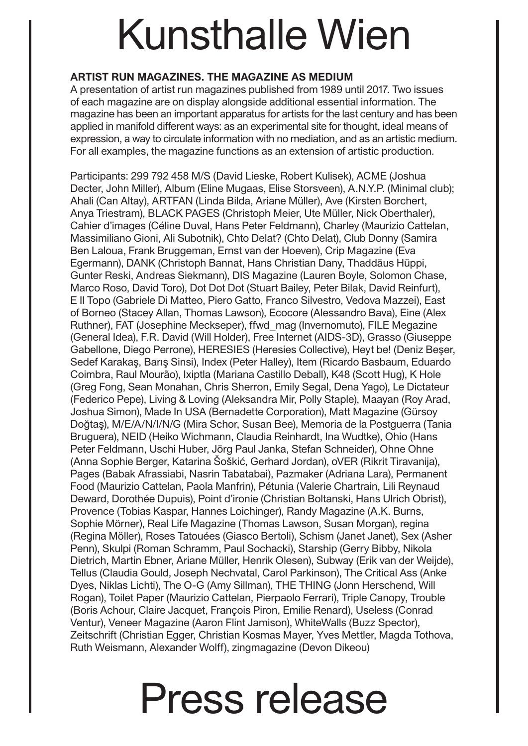### **ARTIST RUN MAGAZINES. THE MAGAZINE AS MEDIUM**

A presentation of artist run magazines published from 1989 until 2017. Two issues of each magazine are on display alongside additional essential information. The magazine has been an important apparatus for artists for the last century and has been applied in manifold different ways: as an experimental site for thought, ideal means of expression, a way to circulate information with no mediation, and as an artistic medium. For all examples, the magazine functions as an extension of artistic production.

Participants: 299 792 458 M/S (David Lieske, Robert Kulisek), ACME (Joshua Decter, John Miller), Album (Eline Mugaas, Elise Storsveen), A.N.Y.P. (Minimal club); Ahali (Can Altay), ARTFAN (Linda Bilda, Ariane Müller), Ave (Kirsten Borchert, Anya Triestram), BLACK PAGES (Christoph Meier, Ute Müller, Nick Oberthaler), Cahier d'images (Céline Duval, Hans Peter Feldmann), Charley (Maurizio Cattelan, Massimiliano Gioni, Ali Subotnik), Chto Delat? (Chto Delat), Club Donny (Samira Ben Laloua, Frank Bruggeman, Ernst van der Hoeven), Crip Magazine (Eva Egermann), DANK (Christoph Bannat, Hans Christian Dany, Thaddäus Hüppi, Gunter Reski, Andreas Siekmann), DIS Magazine (Lauren Boyle, Solomon Chase, Marco Roso, David Toro), Dot Dot Dot (Stuart Bailey, Peter Bilak, David Reinfurt), E Il Topo (Gabriele Di Matteo, Piero Gatto, Franco Silvestro, Vedova Mazzei), East of Borneo (Stacey Allan, Thomas Lawson), Ecocore (Alessandro Bava), Eine (Alex Ruthner), FAT (Josephine Meckseper), ffwd\_mag (Invernomuto), FILE Megazine (General Idea), F.R. David (Will Holder), Free Internet (AIDS-3D), Grasso (Giuseppe Gabellone, Diego Perrone), HERESIES (Heresies Collective), Heyt be! (Deniz Beşer, Sedef Karakaş, Barış Sinsi), Index (Peter Halley), Item (Ricardo Basbaum, Eduardo Coimbra, Raul Mourão), Ixiptla (Mariana Castillo Deball), K48 (Scott Hug), K Hole (Greg Fong, Sean Monahan, Chris Sherron, Emily Segal, Dena Yago), Le Dictateur (Federico Pepe), Living & Loving (Aleksandra Mir, Polly Staple), Maayan (Roy Arad, Joshua Simon), Made In USA (Bernadette Corporation), Matt Magazine (Gürsoy Doğtaş), M/E/A/N/I/N/G (Mira Schor, Susan Bee), Memoria de la Postguerra (Tania Bruguera), NEID (Heiko Wichmann, Claudia Reinhardt, Ina Wudtke), Ohio (Hans Peter Feldmann, Uschi Huber, Jörg Paul Janka, Stefan Schneider), Ohne Ohne (Anna Sophie Berger, Katarina Šoškić, Gerhard Jordan), oVER (Rikrit Tiravanija), Pages (Babak Afrassiabi, Nasrin Tabatabai), Pazmaker (Adriana Lara), Permanent Food (Maurizio Cattelan, Paola Manfrin), Pétunia (Valerie Chartrain, Lili Reynaud Deward, Dorothée Dupuis), Point d'ironie (Christian Boltanski, Hans Ulrich Obrist), Provence (Tobias Kaspar, Hannes Loichinger), Randy Magazine (A.K. Burns, Sophie Mörner), Real Life Magazine (Thomas Lawson, Susan Morgan), regina (Regina Möller), Roses Tatouées (Giasco Bertoli), Schism (Janet Janet), Sex (Asher Penn), Skulpi (Roman Schramm, Paul Sochacki), Starship (Gerry Bibby, Nikola Dietrich, Martin Ebner, Ariane Müller, Henrik Olesen), Subway (Erik van der Weijde), Tellus (Claudia Gould, Joseph Nechvatal, Carol Parkinson), The Critical Ass (Anke Dyes, Niklas Lichti), The O-G (Amy Sillman), THE THING (Jonn Herschend, Will Rogan), Toilet Paper (Maurizio Cattelan, Pierpaolo Ferrari), Triple Canopy, Trouble (Boris Achour, Claire Jacquet, François Piron, Emilie Renard), Useless (Conrad Ventur), Veneer Magazine (Aaron Flint Jamison), WhiteWalls (Buzz Spector), Zeitschrift (Christian Egger, Christian Kosmas Mayer, Yves Mettler, Magda Tothova, Ruth Weismann, Alexander Wolff), zingmagazine (Devon Dikeou)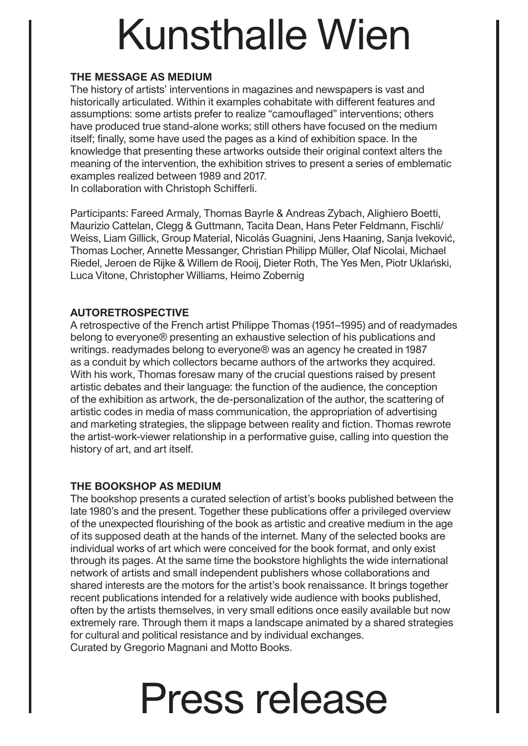#### **THE MESSAGE AS MEDIUM**

The history of artists' interventions in magazines and newspapers is vast and historically articulated. Within it examples cohabitate with different features and assumptions: some artists prefer to realize "camouflaged" interventions; others have produced true stand-alone works; still others have focused on the medium itself; finally, some have used the pages as a kind of exhibition space. In the knowledge that presenting these artworks outside their original context alters the meaning of the intervention, the exhibition strives to present a series of emblematic examples realized between 1989 and 2017.

In collaboration with Christoph Schifferli.

Participants: Fareed Armaly, Thomas Bayrle & Andreas Zybach, Alighiero Boetti, Maurizio Cattelan, Clegg & Guttmann, Tacita Dean, Hans Peter Feldmann, Fischli/ Weiss, Liam Gillick, Group Material, Nicolás Guagnini, Jens Haaning, Sanja Iveković, Thomas Locher, Annette Messanger, Christian Philipp Müller, Olaf Nicolai, Michael Riedel, Jeroen de Rijke & Willem de Rooij, Dieter Roth, The Yes Men, Piotr Uklański, Luca Vitone, Christopher Williams, Heimo Zobernig

### **AUTORETROSPECTIVE**

A retrospective of the French artist Philippe Thomas (1951–1995) and of readymades belong to everyone® presenting an exhaustive selection of his publications and writings. readymades belong to everyone® was an agency he created in 1987 as a conduit by which collectors became authors of the artworks they acquired. With his work, Thomas foresaw many of the crucial questions raised by present artistic debates and their language: the function of the audience, the conception of the exhibition as artwork, the de-personalization of the author, the scattering of artistic codes in media of mass communication, the appropriation of advertising and marketing strategies, the slippage between reality and fiction. Thomas rewrote the artist-work-viewer relationship in a performative guise, calling into question the history of art, and art itself.

#### **THE BOOKSHOP AS MEDIUM**

The bookshop presents a curated selection of artist's books published between the late 1980's and the present. Together these publications offer a privileged overview of the unexpected flourishing of the book as artistic and creative medium in the age of its supposed death at the hands of the internet. Many of the selected books are individual works of art which were conceived for the book format, and only exist through its pages. At the same time the bookstore highlights the wide international network of artists and small independent publishers whose collaborations and shared interests are the motors for the artist's book renaissance. It brings together recent publications intended for a relatively wide audience with books published, often by the artists themselves, in very small editions once easily available but now extremely rare. Through them it maps a landscape animated by a shared strategies for cultural and political resistance and by individual exchanges. Curated by Gregorio Magnani and Motto Books.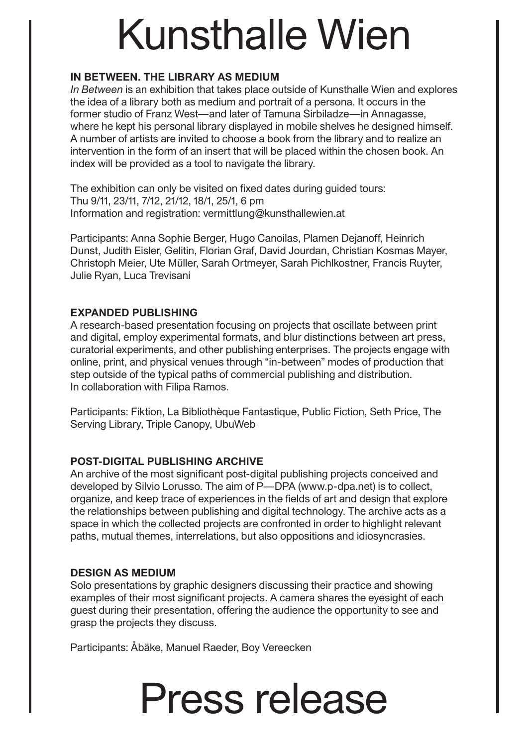### **IN BETWEEN. THE LIBRARY AS MEDIUM**

*In Between* is an exhibition that takes place outside of Kunsthalle Wien and explores the idea of a library both as medium and portrait of a persona. It occurs in the former studio of Franz West—and later of Tamuna Sirbiladze—in Annagasse, where he kept his personal library displayed in mobile shelves he designed himself. A number of artists are invited to choose a book from the library and to realize an intervention in the form of an insert that will be placed within the chosen book. An index will be provided as a tool to navigate the library.

The exhibition can only be visited on fixed dates during guided tours: Thu 9/11, 23/11, 7/12, 21/12, 18/1, 25/1, 6 pm Information and registration: vermittlung@kunsthallewien.at

Participants: Anna Sophie Berger, Hugo Canoilas, Plamen Dejanoff, Heinrich Dunst, Judith Eisler, Gelitin, Florian Graf, David Jourdan, Christian Kosmas Mayer, Christoph Meier, Ute Müller, Sarah Ortmeyer, Sarah Pichlkostner, Francis Ruyter, Julie Ryan, Luca Trevisani

### **EXPANDED PUBLISHING**

A research-based presentation focusing on projects that oscillate between print and digital, employ experimental formats, and blur distinctions between art press, curatorial experiments, and other publishing enterprises. The projects engage with online, print, and physical venues through "in-between" modes of production that step outside of the typical paths of commercial publishing and distribution. In collaboration with Filipa Ramos.

Participants: Fiktion, La Bibliothèque Fantastique, Public Fiction, Seth Price, The Serving Library, Triple Canopy, UbuWeb

#### **POST-DIGITAL PUBLISHING ARCHIVE**

An archive of the most significant post-digital publishing projects conceived and developed by Silvio Lorusso. The aim of P—DPA (www.p-dpa.net) is to collect, organize, and keep trace of experiences in the fields of art and design that explore the relationships between publishing and digital technology. The archive acts as a space in which the collected projects are confronted in order to highlight relevant paths, mutual themes, interrelations, but also oppositions and idiosyncrasies.

#### **DESIGN AS MEDIUM**

Solo presentations by graphic designers discussing their practice and showing examples of their most significant projects. A camera shares the eyesight of each guest during their presentation, offering the audience the opportunity to see and grasp the projects they discuss.

Participants: Åbäke, Manuel Raeder, Boy Vereecken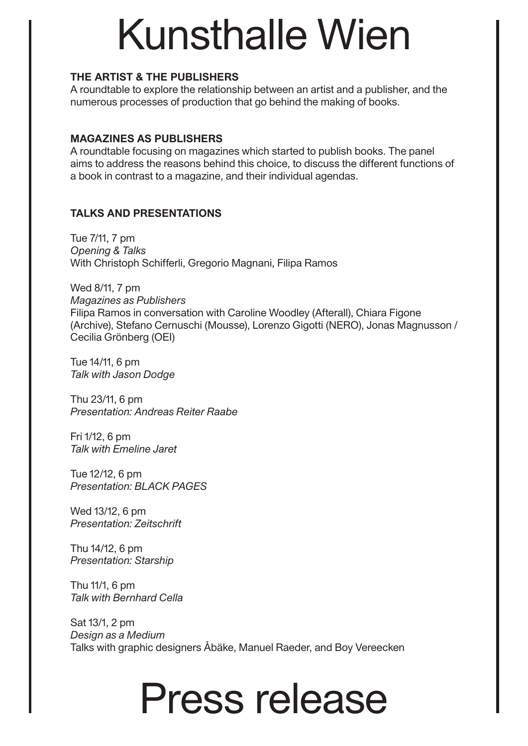#### **THE ARTIST & THE PUBLISHERS**

A roundtable to explore the relationship between an artist and a publisher, and the numerous processes of production that go behind the making of books.

#### **MAGAZINES AS PUBLISHERS**

A roundtable focusing on magazines which started to publish books. The panel aims to address the reasons behind this choice, to discuss the different functions of a book in contrast to a magazine, and their individual agendas.

### **TALKS AND PRESENTATIONS**

Tue 7/11, 7 pm *Opening & Talks* With Christoph Schifferli, Gregorio Magnani, Filipa Ramos

Wed 8/11, 7 pm *Magazines as Publishers* Filipa Ramos in conversation with Caroline Woodley (Afterall), Chiara Figone (Archive), Stefano Cernuschi (Mousse), Lorenzo Gigotti (NERO), Jonas Magnusson / Cecilia Grönberg (OEI)

Tue 14/11, 6 pm *Talk with Jason Dodge*

Thu 23/11, 6 pm *Presentation: Andreas Reiter Raabe*

Fri 1/12, 6 pm *Talk with Emeline Jaret*

Tue 12/12, 6 pm *Presentation: BLACK PAGES*

Wed 13/12, 6 pm *Presentation: Zeitschrift*

Thu 14/12, 6 pm *Presentation: Starship*

Thu 11/1, 6 pm *Talk with Bernhard Cella*

Sat 13/1, 2 pm *Design as a Medium* Talks with graphic designers Åbäke, Manuel Raeder, and Boy Vereecken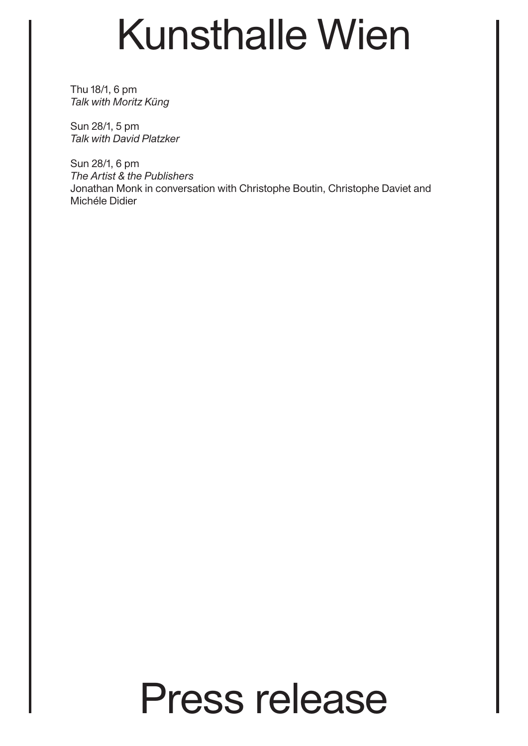Thu 18/1, 6 pm *Talk with Moritz Küng*

Sun 28/1, 5 pm *Talk with David Platzker*

Sun 28/1, 6 pm *The Artist & the Publishers* Jonathan Monk in conversation with Christophe Boutin, Christophe Daviet and Michéle Didier